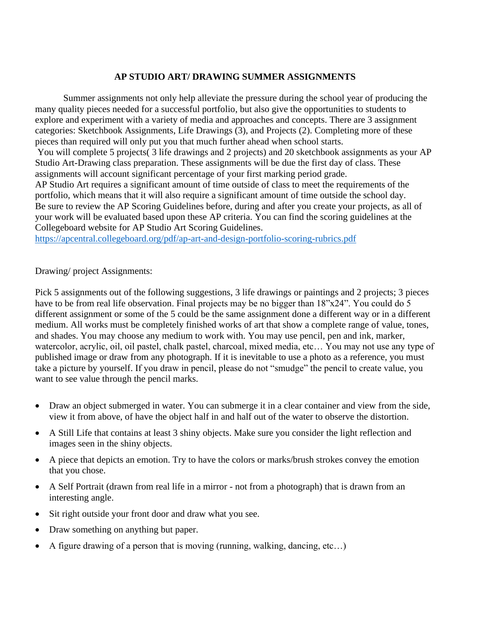## **AP STUDIO ART/ DRAWING SUMMER ASSIGNMENTS**

Summer assignments not only help alleviate the pressure during the school year of producing the many quality pieces needed for a successful portfolio, but also give the opportunities to students to explore and experiment with a variety of media and approaches and concepts. There are 3 assignment categories: Sketchbook Assignments, Life Drawings (3), and Projects (2). Completing more of these pieces than required will only put you that much further ahead when school starts.

You will complete 5 projects( 3 life drawings and 2 projects) and 20 sketchbook assignments as your AP Studio Art-Drawing class preparation. These assignments will be due the first day of class. These assignments will account significant percentage of your first marking period grade.

AP Studio Art requires a significant amount of time outside of class to meet the requirements of the portfolio, which means that it will also require a significant amount of time outside the school day. Be sure to review the AP Scoring Guidelines before, during and after you create your projects, as all of your work will be evaluated based upon these AP criteria. You can find the scoring guidelines at the Collegeboard website for AP Studio Art Scoring Guidelines.

<https://apcentral.collegeboard.org/pdf/ap-art-and-design-portfolio-scoring-rubrics.pdf>

Drawing/ project Assignments:

Pick 5 assignments out of the following suggestions, 3 life drawings or paintings and 2 projects; 3 pieces have to be from real life observation. Final projects may be no bigger than 18"x24". You could do 5 different assignment or some of the 5 could be the same assignment done a different way or in a different medium. All works must be completely finished works of art that show a complete range of value, tones, and shades. You may choose any medium to work with. You may use pencil, pen and ink, marker, watercolor, acrylic, oil, oil pastel, chalk pastel, charcoal, mixed media, etc… You may not use any type of published image or draw from any photograph. If it is inevitable to use a photo as a reference, you must take a picture by yourself. If you draw in pencil, please do not "smudge" the pencil to create value, you want to see value through the pencil marks.

- Draw an object submerged in water. You can submerge it in a clear container and view from the side, view it from above, of have the object half in and half out of the water to observe the distortion.
- A Still Life that contains at least 3 shiny objects. Make sure you consider the light reflection and images seen in the shiny objects.
- A piece that depicts an emotion. Try to have the colors or marks/brush strokes convey the emotion that you chose.
- A Self Portrait (drawn from real life in a mirror not from a photograph) that is drawn from an interesting angle.
- Sit right outside your front door and draw what you see.
- Draw something on anything but paper.
- A figure drawing of a person that is moving (running, walking, dancing, etc…)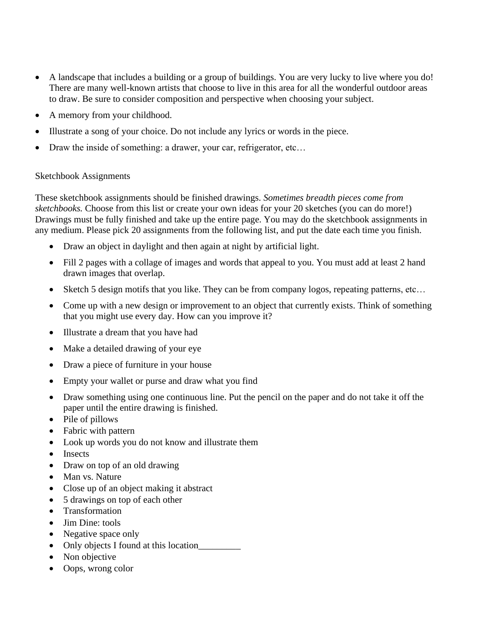- A landscape that includes a building or a group of buildings. You are very lucky to live where you do! There are many well-known artists that choose to live in this area for all the wonderful outdoor areas to draw. Be sure to consider composition and perspective when choosing your subject.
- A memory from your childhood.
- Illustrate a song of your choice. Do not include any lyrics or words in the piece.
- Draw the inside of something: a drawer, your car, refrigerator, etc...

## Sketchbook Assignments

These sketchbook assignments should be finished drawings. *Sometimes breadth pieces come from sketchbooks.* Choose from this list or create your own ideas for your 20 sketches (you can do more!) Drawings must be fully finished and take up the entire page. You may do the sketchbook assignments in any medium. Please pick 20 assignments from the following list, and put the date each time you finish.

- Draw an object in daylight and then again at night by artificial light.
- Fill 2 pages with a collage of images and words that appeal to you. You must add at least 2 hand drawn images that overlap.
- Sketch 5 design motifs that you like. They can be from company logos, repeating patterns, etc...
- Come up with a new design or improvement to an object that currently exists. Think of something that you might use every day. How can you improve it?
- Illustrate a dream that you have had
- Make a detailed drawing of your eye
- Draw a piece of furniture in your house
- Empty your wallet or purse and draw what you find
- Draw something using one continuous line. Put the pencil on the paper and do not take it off the paper until the entire drawing is finished.
- Pile of pillows
- Fabric with pattern
- Look up words you do not know and illustrate them
- Insects
- Draw on top of an old drawing
- Man vs. Nature
- Close up of an object making it abstract
- 5 drawings on top of each other
- Transformation
- Jim Dine: tools
- Negative space only
- Only objects I found at this location\_\_\_\_\_\_\_\_\_
- Non objective
- Oops, wrong color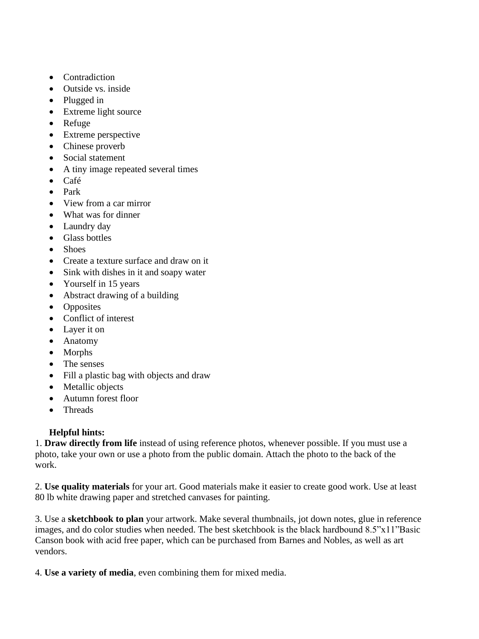- Contradiction
- Outside vs. inside
- Plugged in
- Extreme light source
- Refuge
- Extreme perspective
- Chinese proverb
- Social statement
- A tiny image repeated several times
- Café
- Park
- View from a car mirror
- What was for dinner
- Laundry day
- Glass bottles
- Shoes
- Create a texture surface and draw on it
- Sink with dishes in it and soapy water
- Yourself in 15 years
- Abstract drawing of a building
- Opposites
- Conflict of interest
- Layer it on
- Anatomy
- Morphs
- The senses
- Fill a plastic bag with objects and draw
- Metallic objects
- Autumn forest floor
- Threads

## **Helpful hints:**

1. **Draw directly from life** instead of using reference photos, whenever possible. If you must use a photo, take your own or use a photo from the public domain. Attach the photo to the back of the work.

2. **Use quality materials** for your art. Good materials make it easier to create good work. Use at least 80 lb white drawing paper and stretched canvases for painting.

3. Use a **sketchbook to plan** your artwork. Make several thumbnails, jot down notes, glue in reference images, and do color studies when needed. The best sketchbook is the black hardbound 8.5"x11"Basic Canson book with acid free paper, which can be purchased from Barnes and Nobles, as well as art vendors.

4. **Use a variety of media**, even combining them for mixed media.